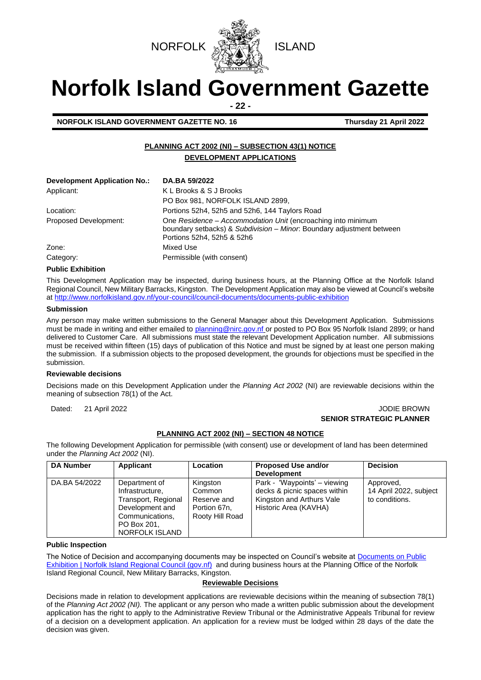



# **Norfolk Island Government Gazette**

**- 22 -**

**NORFOLK ISLAND GOVERNMENT GAZETTE NO. 16 Thursday 21 April 2022**

# **PLANNING ACT 2002 (NI) – SUBSECTION 43(1) NOTICE DEVELOPMENT APPLICATIONS**

| <b>Development Application No.:</b> | DA.BA 59/2022                                                                                                                                                       |  |
|-------------------------------------|---------------------------------------------------------------------------------------------------------------------------------------------------------------------|--|
| Applicant:                          | K L Brooks & S J Brooks                                                                                                                                             |  |
|                                     | PO Box 981, NORFOLK ISLAND 2899,                                                                                                                                    |  |
| Location:                           | Portions 52h4, 52h5 and 52h6, 144 Taylors Road                                                                                                                      |  |
| Proposed Development:               | One Residence - Accommodation Unit (encroaching into minimum<br>boundary setbacks) & Subdivision - Minor. Boundary adjustment between<br>Portions 52h4, 52h5 & 52h6 |  |
| Zone:                               | Mixed Use                                                                                                                                                           |  |
| Category:                           | Permissible (with consent)                                                                                                                                          |  |

#### **Public Exhibition**

This Development Application may be inspected, during business hours, at the Planning Office at the Norfolk Island Regional Council, New Military Barracks, Kingston. The Development Application may also be viewed at Council's website a[t http://www.norfolkisland.gov.nf/your-council/council-documents/documents-public-exhibition](http://www.norfolkisland.gov.nf/your-council/council-documents/documents-public-exhibition)

#### **Submission**

Any person may make written submissions to the General Manager about this Development Application. Submissions must be made in writing and either emailed t[o planning@nirc.gov.nf](mailto:planning@nirc.gov.nf) or posted to PO Box 95 Norfolk Island 2899; or hand delivered to Customer Care. All submissions must state the relevant Development Application number. All submissions must be received within fifteen (15) days of publication of this Notice and must be signed by at least one person making the submission. If a submission objects to the proposed development, the grounds for objections must be specified in the submission.

#### **Reviewable decisions**

Decisions made on this Development Application under the *Planning Act 2002* (NI) are reviewable decisions within the meaning of subsection 78(1) of the Act.

#### Dated: 21 April 2022 **John Brown Community Community Community Community Community Community Community Community Community Community Community Community Community Community Community Community Community Community Community SENIOR STRATEGIC PLANNER**

#### **PLANNING ACT 2002 (NI) – SECTION 48 NOTICE**

The following Development Application for permissible (with consent) use or development of land has been determined under the *Planning Act 2002* (NI).

| <b>DA Number</b> | Applicant                                                                                                                      | Location                                                             | <b>Proposed Use and/or</b>                                                                                         | <b>Decision</b>                                       |
|------------------|--------------------------------------------------------------------------------------------------------------------------------|----------------------------------------------------------------------|--------------------------------------------------------------------------------------------------------------------|-------------------------------------------------------|
|                  |                                                                                                                                |                                                                      | <b>Development</b>                                                                                                 |                                                       |
| DA.BA 54/2022    | Department of<br>Infrastructure,<br>Transport, Regional<br>Development and<br>Communications,<br>PO Box 201.<br>NORFOLK ISLAND | Kingston<br>Common<br>Reserve and<br>Portion 67n,<br>Rooty Hill Road | Park - 'Waypoints' – viewing<br>decks & picnic spaces within<br>Kingston and Arthurs Vale<br>Historic Area (KAVHA) | Approved,<br>14 April 2022, subject<br>to conditions. |

# **Public Inspection**

The Notice of Decision and accompanying documents may be inspected on Council's website at Documents on Public [Exhibition | Norfolk Island Regional Council \(gov.nf\)](http://www.norfolkisland.gov.nf/your-council/council-documents/documents-public-exhibition) and during business hours at the Planning Office of the Norfolk Island Regional Council, New Military Barracks, Kingston.

#### **Reviewable Decisions**

Decisions made in relation to development applications are reviewable decisions within the meaning of subsection 78(1) of the *Planning Act 2002 (NI).* The applicant or any person who made a written public submission about the development application has the right to apply to the Administrative Review Tribunal or the Administrative Appeals Tribunal for review of a decision on a development application. An application for a review must be lodged within 28 days of the date the decision was given.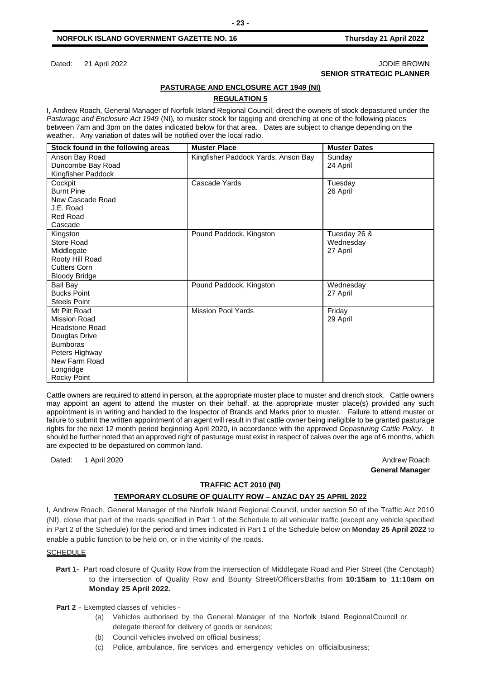#### **NORFOLK ISLAND GOVERNMENT GAZETTE NO. 16 Thursday 21 April 2022**

#### Dated: 21 April 2022 **John Brown Community Community Community Community Community Community Community Community Community Community Community Community Community Community Community Community Community Community Community SENIOR STRATEGIC PLANNER**

#### **PASTURAGE AND ENCLOSURE ACT 1949 (NI)**

# **REGULATION 5**

I, Andrew Roach, General Manager of Norfolk Island Regional Council, direct the owners of stock depastured under the *Pasturage and Enclosure Act 1949* (NI)*,* to muster stock for tagging and drenching at one of the following places between 7am and 3pm on the dates indicated below for that area. Dates are subject to change depending on the weather. Any variation of dates will be notified over the local radio.

| <b>Muster Place</b>                 | <b>Muster Dates</b>                                  |
|-------------------------------------|------------------------------------------------------|
| Kingfisher Paddock Yards, Anson Bay | Sunday<br>24 April                                   |
|                                     |                                                      |
| Cascade Yards                       | Tuesday                                              |
|                                     | 26 April                                             |
|                                     |                                                      |
|                                     |                                                      |
|                                     |                                                      |
| Pound Paddock, Kingston             | Tuesday 26 &                                         |
|                                     | Wednesday                                            |
|                                     | 27 April                                             |
|                                     |                                                      |
|                                     |                                                      |
|                                     |                                                      |
|                                     | Wednesday                                            |
|                                     | 27 April                                             |
|                                     |                                                      |
|                                     | Friday                                               |
|                                     | 29 April                                             |
|                                     |                                                      |
|                                     |                                                      |
|                                     |                                                      |
|                                     |                                                      |
|                                     |                                                      |
|                                     |                                                      |
|                                     | Pound Paddock, Kingston<br><b>Mission Pool Yards</b> |

Cattle owners are required to attend in person, at the appropriate muster place to muster and drench stock. Cattle owners may appoint an agent to attend the muster on their behalf, at the appropriate muster place(s) provided any such appointment is in writing and handed to the Inspector of Brands and Marks prior to muster. Failure to attend muster or failure to submit the written appointment of an agent will result in that cattle owner being ineligible to be granted pasturage rights for the next 12 month period beginning April 2020, in accordance with the approved *Depasturing Cattle Policy.* It should be further noted that an approved right of pasturage must exist in respect of calves over the age of 6 months, which are expected to be depastured on common land.

Dated: 1 April 2020 Andrew Roach

# **General Manager**

#### **TRAFFIC ACT 2010 (NI)**

#### **TEMPORARY CLOSURE OF QUALITY ROW – ANZAC DAY 25 APRIL 2022**

I, Andrew Roach, General Manager of the Norfolk Island Regional Council, under section 50 of the Traffic Act 2010 (NI), close that part of the roads specified in Part 1 of the Schedule to all vehicular traffic (except any vehicle specified in Part 2 of the Schedule) for the period and times indicated in Part 1 of the Schedule below on **Monday 25 April 2022** to enable a public function to be held on, or in the vicinity of the roads.

#### **SCHEDULE**

**Part 1-** Part road closure of Quality Row from the intersection of Middlegate Road and Pier Street (the Cenotaph) to the intersection of Quality Row and Bounty Street/OfficersBaths from **10:15am to 11:10am on Monday 25 April 2022.**

**Part 2 -** Exempted classes of vehicles -

- (a) Vehicles authorised by the General Manager of the Norfolk Island RegionalCouncil or delegate thereof for delivery of goods or services;
- (b) Council vehicles involved on official business;
- (c) Police, ambulance, fire services and emergency vehicles on officialbusiness;